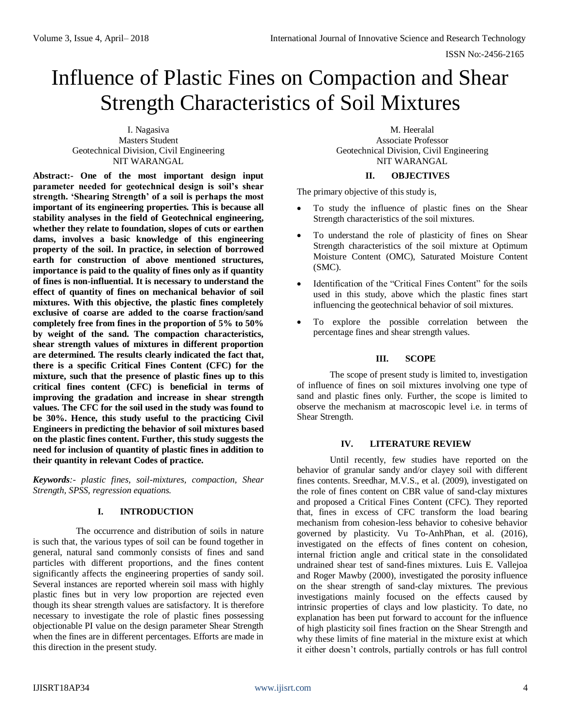# Influence of Plastic Fines on Compaction and Shear Strength Characteristics of Soil Mixtures

I. Nagasiva Masters Student Geotechnical Division, Civil Engineering NIT WARANGAL

**Abstract:- One of the most important design input parameter needed for geotechnical design is soil's shear strength. 'Shearing Strength' of a soil is perhaps the most important of its engineering properties. This is because all stability analyses in the field of Geotechnical engineering, whether they relate to foundation, slopes of cuts or earthen dams, involves a basic knowledge of this engineering property of the soil. In practice, in selection of borrowed earth for construction of above mentioned structures, importance is paid to the quality of fines only as if quantity of fines is non-influential. It is necessary to understand the effect of quantity of fines on mechanical behavior of soil mixtures. With this objective, the plastic fines completely exclusive of coarse are added to the coarse fraction/sand completely free from fines in the proportion of 5% to 50% by weight of the sand. The compaction characteristics, shear strength values of mixtures in different proportion are determined. The results clearly indicated the fact that, there is a specific Critical Fines Content (CFC) for the mixture, such that the presence of plastic fines up to this critical fines content (CFC) is beneficial in terms of improving the gradation and increase in shear strength values. The CFC for the soil used in the study was found to be 30%. Hence, this study useful to the practicing Civil Engineers in predicting the behavior of soil mixtures based on the plastic fines content. Further, this study suggests the need for inclusion of quantity of plastic fines in addition to their quantity in relevant Codes of practice.**

*Keywords:- plastic fines, soil-mixtures, compaction, Shear Strength, SPSS, regression equations.*

# **I. INTRODUCTION**

The occurrence and distribution of soils in nature is such that, the various types of soil can be found together in general, natural sand commonly consists of fines and sand particles with different proportions, and the fines content significantly affects the engineering properties of sandy soil. Several instances are reported wherein soil mass with highly plastic fines but in very low proportion are rejected even though its shear strength values are satisfactory. It is therefore necessary to investigate the role of plastic fines possessing objectionable PI value on the design parameter Shear Strength when the fines are in different percentages. Efforts are made in this direction in the present study.

M. Heeralal Associate Professor Geotechnical Division, Civil Engineering NIT WARANGAL

#### **II. OBJECTIVES**

The primary objective of this study is,

- To study the influence of plastic fines on the Shear Strength characteristics of the soil mixtures.
- To understand the role of plasticity of fines on Shear Strength characteristics of the soil mixture at Optimum Moisture Content (OMC), Saturated Moisture Content (SMC).
- Identification of the "Critical Fines Content" for the soils used in this study, above which the plastic fines start influencing the geotechnical behavior of soil mixtures.
- To explore the possible correlation between the percentage fines and shear strength values.

### **III. SCOPE**

The scope of present study is limited to, investigation of influence of fines on soil mixtures involving one type of sand and plastic fines only. Further, the scope is limited to observe the mechanism at macroscopic level i.e. in terms of Shear Strength.

### **IV. LITERATURE REVIEW**

Until recently, few studies have reported on the behavior of granular sandy and/or clayey soil with different fines contents. Sreedhar, M.V.S., et al. (2009), investigated on the role of fines content on CBR value of sand-clay mixtures and proposed a Critical Fines Content (CFC). They reported that, fines in excess of CFC transform the load bearing mechanism from cohesion-less behavior to cohesive behavior governed by plasticity. Vu To-AnhPhan, et al. (2016), investigated on the effects of fines content on cohesion, internal friction angle and critical state in the consolidated undrained shear test of sand-fines mixtures. Luis E. Vallejoa and Roger Mawby (2000), investigated the porosity influence on the shear strength of sand-clay mixtures. The previous investigations mainly focused on the effects caused by intrinsic properties of clays and low plasticity. To date, no explanation has been put forward to account for the influence of high plasticity soil fines fraction on the Shear Strength and why these limits of fine material in the mixture exist at which it either doesn't controls, partially controls or has full control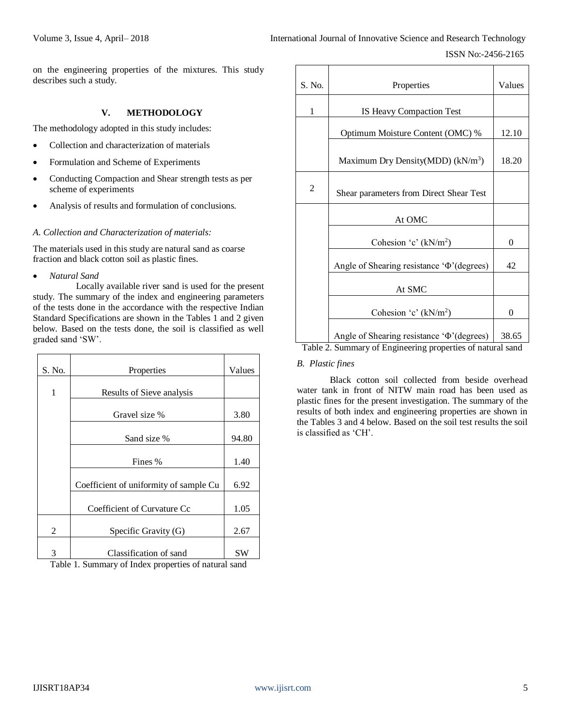┯

on the engineering properties of the mixtures. This study describes such a study.

# **V. METHODOLOGY**

The methodology adopted in this study includes:

- Collection and characterization of materials
- Formulation and Scheme of Experiments
- Conducting Compaction and Shear strength tests as per scheme of experiments
- Analysis of results and formulation of conclusions.

### *A. Collection and Characterization of materials:*

The materials used in this study are natural sand as coarse fraction and black cotton soil as plastic fines.

*Natural Sand*

Locally available river sand is used for the present study. The summary of the index and engineering parameters of the tests done in the accordance with the respective Indian Standard Specifications are shown in the Tables 1 and 2 given below. Based on the tests done, the soil is classified as well graded sand 'SW'.

| S. No. | Properties                             | Values |
|--------|----------------------------------------|--------|
| 1      | Results of Sieve analysis              |        |
|        | Gravel size %                          | 3.80   |
|        | Sand size %                            | 94.80  |
|        | Fines %                                | 1.40   |
|        | Coefficient of uniformity of sample Cu | 6.92   |
|        | Coefficient of Curvature Cc            | 1.05   |
| 2      | Specific Gravity (G)                   | 2.67   |
| 3      | Classification of sand                 | SW     |

Table 1. Summary of Index properties of natural sand

| S. No.         | Properties                                                        | Values |
|----------------|-------------------------------------------------------------------|--------|
| 1              | IS Heavy Compaction Test                                          |        |
|                | Optimum Moisture Content (OMC) %                                  | 12.10  |
|                | Maximum Dry Density(MDD) (kN/m <sup>3</sup> )                     | 18.20  |
| $\overline{2}$ | Shear parameters from Direct Shear Test                           |        |
|                | At OMC                                                            |        |
|                | Cohesion 'c' (kN/m <sup>2</sup> )                                 | 0      |
|                | Angle of Shearing resistance ' $\Phi$ '(degrees)                  | 42     |
|                | At SMC                                                            |        |
|                | Cohesion 'c' $(kN/m^2)$                                           | 0      |
|                | Angle of Shearing resistance ' $\Phi$ '(degrees)<br>$\sim$ $\sim$ | 38.65  |

Table 2. Summary of Engineering properties of natural sand

# *B. Plastic fines*

Г

Τ

Black cotton soil collected from beside overhead water tank in front of NITW main road has been used as plastic fines for the present investigation. The summary of the results of both index and engineering properties are shown in the Tables 3 and 4 below. Based on the soil test results the soil is classified as 'CH'.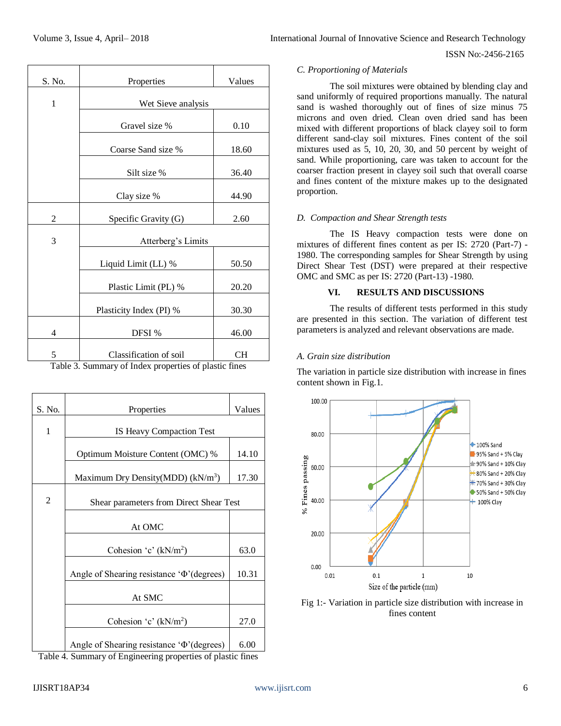| International Journal of Innovative Science and Research Technology |  |
|---------------------------------------------------------------------|--|
|---------------------------------------------------------------------|--|

#### ISSN No:-2456-2165

#### *C. Proportioning of Materials*

The soil mixtures were obtained by blending clay and sand uniformly of required proportions manually. The natural sand is washed thoroughly out of fines of size minus 75 microns and oven dried. Clean oven dried sand has been mixed with different proportions of black clayey soil to form different sand-clay soil mixtures. Fines content of the soil mixtures used as 5, 10, 20, 30, and 50 percent by weight of sand. While proportioning, care was taken to account for the coarser fraction present in clayey soil such that overall coarse and fines content of the mixture makes up to the designated proportion.

# *D. Compaction and Shear Strength tests*

The IS Heavy compaction tests were done on mixtures of different fines content as per IS: 2720 (Part-7) - 1980. The corresponding samples for Shear Strength by using Direct Shear Test (DST) were prepared at their respective OMC and SMC as per IS: 2720 (Part-13) -1980.

# **VI. RESULTS AND DISCUSSIONS**

The results of different tests performed in this study are presented in this section. The variation of different test parameters is analyzed and relevant observations are made.

# *A. Grain size distribution*

The variation in particle size distribution with increase in fines content shown in Fig.1.



Fig 1:- Variation in particle size distribution with increase in fines content

| S. No.                  | Properties                                            | Values |  |  |  |  |
|-------------------------|-------------------------------------------------------|--------|--|--|--|--|
| $\mathbf{1}$            | Wet Sieve analysis                                    |        |  |  |  |  |
|                         | Gravel size %                                         | 0.10   |  |  |  |  |
|                         | Coarse Sand size %                                    | 18.60  |  |  |  |  |
|                         | Silt size %                                           | 36.40  |  |  |  |  |
|                         | Clay size %                                           | 44.90  |  |  |  |  |
| 2                       | Specific Gravity (G)                                  | 2.60   |  |  |  |  |
| 3<br>Atterberg's Limits |                                                       |        |  |  |  |  |
|                         | Liquid Limit (LL) %                                   | 50.50  |  |  |  |  |
|                         | Plastic Limit (PL) %                                  | 20.20  |  |  |  |  |
|                         | Plasticity Index (PI) %                               | 30.30  |  |  |  |  |
| 4                       | DFSI %                                                | 46.00  |  |  |  |  |
| 5                       | Classification of soil                                | CН     |  |  |  |  |
|                         | Table 3. Summary of Index properties of plastic fines |        |  |  |  |  |

Table 3. Summary of Index properties of plastic fines

| S. No.                                                      | Properties                                       | Values |  |
|-------------------------------------------------------------|--------------------------------------------------|--------|--|
| 1                                                           | IS Heavy Compaction Test                         |        |  |
|                                                             | Optimum Moisture Content (OMC) %                 | 14.10  |  |
|                                                             | Maximum Dry Density(MDD) $(kN/m3)$               | 17.30  |  |
| 2                                                           | Shear parameters from Direct Shear Test          |        |  |
|                                                             | At OMC                                           |        |  |
|                                                             | Cohesion 'c' $(kN/m2)$                           |        |  |
|                                                             | Angle of Shearing resistance ' $\Phi$ '(degrees) | 10.31  |  |
|                                                             | At SMC                                           |        |  |
|                                                             | Cohesion 'c' $(kN/m^2)$                          | 27.0   |  |
|                                                             | Angle of Shearing resistance ' $\Phi$ '(degrees) | 6.00   |  |
| Table 4. Summary of Engineering properties of plastic fines |                                                  |        |  |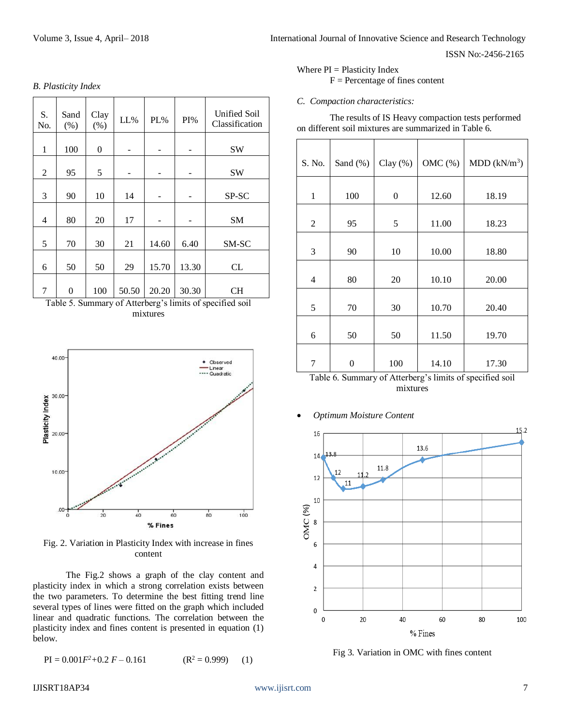|  | <b>B.</b> Plasticity Index |  |
|--|----------------------------|--|
|--|----------------------------|--|

| S.<br>No. | Sand<br>(% ) | Clay<br>(% ) | $LL\%$                   | PL%   | $PI\%$ | Unified Soil<br>Classification |
|-----------|--------------|--------------|--------------------------|-------|--------|--------------------------------|
| 1         | 100          | 0            | $\overline{\phantom{0}}$ | -     |        | SW                             |
| 2         | 95           | 5            |                          |       | -      | SW                             |
| 3         | 90           | 10           | 14                       |       |        | SP-SC                          |
| 4         | 80           | 20           | 17                       |       |        | <b>SM</b>                      |
| 5         | 70           | 30           | 21                       | 14.60 | 6.40   | SM-SC                          |
| 6         | 50           | 50           | 29                       | 15.70 | 13.30  | CL                             |
| 7         | 0            | 100          | 50.50                    | 20.20 | 30.30  | CН                             |

Table 5. Summary of Atterberg's limits of specified soil mixtures



Fig. 2. Variation in Plasticity Index with increase in fines content

The Fig.2 shows a graph of the clay content and plasticity index in which a strong correlation exists between the two parameters. To determine the best fitting trend line several types of lines were fitted on the graph which included linear and quadratic functions. The correlation between the plasticity index and fines content is presented in equation (1) below.

 $PI = 0.001F^2 + 0.2F - 0.161$  (R<sup>2</sup> = 0.999) (1)

Where  $PI = Plasticity Index$ 

# $F =$  Percentage of fines content

# *C. Compaction characteristics:*

The results of IS Heavy compaction tests performed on different soil mixtures are summarized in Table 6.

| S. No.         | Sand (%) | Clay $(\%)$      | OMC $(\% )$ | MDD (kN/m <sup>3</sup> ) |
|----------------|----------|------------------|-------------|--------------------------|
| $\mathbf{1}$   | 100      | $\boldsymbol{0}$ | 12.60       | 18.19                    |
| $\overline{2}$ | 95       | 5                | 11.00       | 18.23                    |
| 3              | 90       | 10               | 10.00       | 18.80                    |
| 4              | 80       | 20               | 10.10       | 20.00                    |
| 5              | 70       | 30               | 10.70       | 20.40                    |
| 6              | 50       | 50               | 11.50       | 19.70                    |
| 7              | 0        | 100              | 14.10       | 17.30                    |

Table 6. Summary of Atterberg's limits of specified soil mixtures

*Optimum Moisture Content*



Fig 3. Variation in OMC with fines content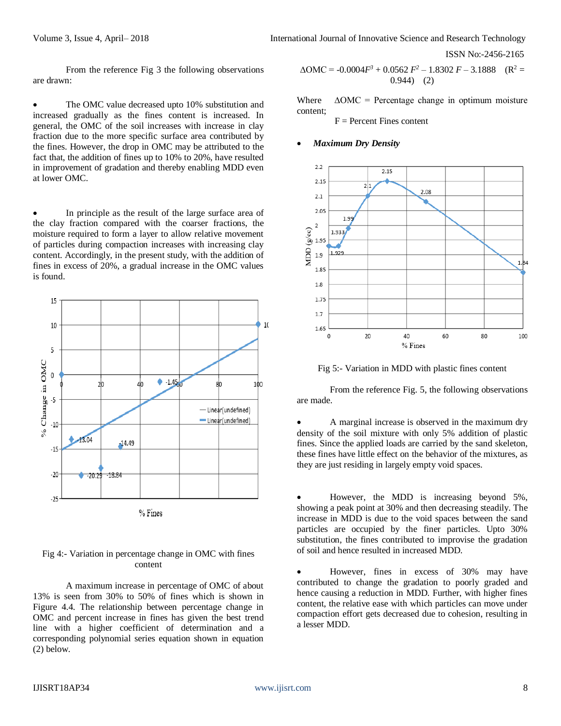ISSN No:-2456-2165

From the reference Fig 3 the following observations are drawn:

• The OMC value decreased upto 10% substitution and increased gradually as the fines content is increased. In general, the OMC of the soil increases with increase in clay fraction due to the more specific surface area contributed by the fines. However, the drop in OMC may be attributed to the fact that, the addition of fines up to 10% to 20%, have resulted in improvement of gradation and thereby enabling MDD even at lower OMC.

 In principle as the result of the large surface area of the clay fraction compared with the coarser fractions, the moisture required to form a layer to allow relative movement of particles during compaction increases with increasing clay content. Accordingly, in the present study, with the addition of fines in excess of 20%, a gradual increase in the OMC values is found.



### Fig 4:- Variation in percentage change in OMC with fines content

A maximum increase in percentage of OMC of about 13% is seen from 30% to 50% of fines which is shown in Figure 4.4. The relationship between percentage change in OMC and percent increase in fines has given the best trend line with a higher coefficient of determination and a corresponding polynomial series equation shown in equation (2) below.

$$
\Delta OMC = -0.0004F^3 + 0.0562 F^2 - 1.8302 F - 3.1888 \quad (R^2 = 0.944) \quad (2)
$$

Where  $\triangle$ OMC = Percentage change in optimum moisture content;

 $F =$  Percent Fines content

#### *Maximum Dry Density*



Fig 5:- Variation in MDD with plastic fines content

From the reference Fig. 5, the following observations are made.

 A marginal increase is observed in the maximum dry density of the soil mixture with only 5% addition of plastic fines. Since the applied loads are carried by the sand skeleton, these fines have little effect on the behavior of the mixtures, as they are just residing in largely empty void spaces.

 However, the MDD is increasing beyond 5%, showing a peak point at 30% and then decreasing steadily. The increase in MDD is due to the void spaces between the sand particles are occupied by the finer particles. Upto 30% substitution, the fines contributed to improvise the gradation of soil and hence resulted in increased MDD.

 However, fines in excess of 30% may have contributed to change the gradation to poorly graded and hence causing a reduction in MDD. Further, with higher fines content, the relative ease with which particles can move under compaction effort gets decreased due to cohesion, resulting in a lesser MDD.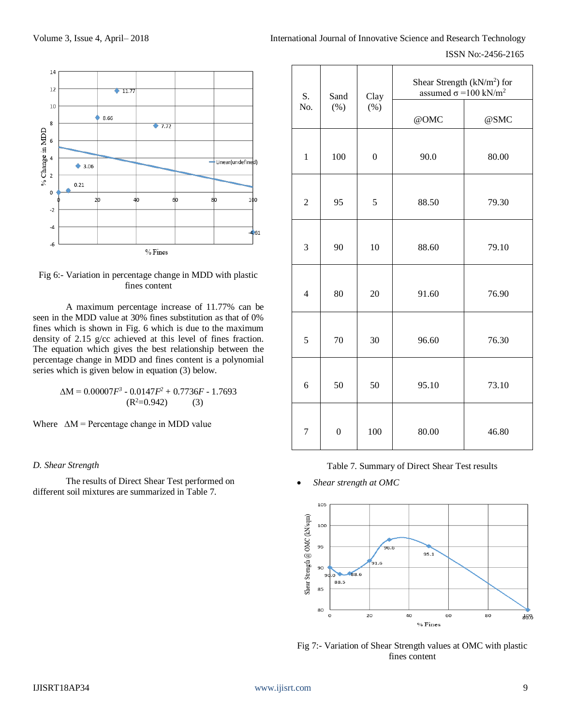

Fig 6:- Variation in percentage change in MDD with plastic fines content

A maximum percentage increase of 11.77% can be seen in the MDD value at 30% fines substitution as that of 0% fines which is shown in Fig. 6 which is due to the maximum density of 2.15 g/cc achieved at this level of fines fraction. The equation which gives the best relationship between the percentage change in MDD and fines content is a polynomial series which is given below in equation (3) below.

$$
\Delta M = 0.00007F^3 - 0.0147F^2 + 0.7736F - 1.7693
$$
  
(R<sup>2</sup>=0.942) (3)

Where  $\Delta M$  = Percentage change in MDD value

# *D. Shear Strength*

The results of Direct Shear Test performed on different soil mixtures are summarized in Table 7.

| S.             | Sand             | Clay<br>(%)      | Shear Strength (kN/m <sup>2</sup> ) for<br>assumed $\sigma$ =100 kN/m <sup>2</sup> |       |  |
|----------------|------------------|------------------|------------------------------------------------------------------------------------|-------|--|
| No.            | (%)              |                  | @OMC                                                                               | @SMC  |  |
| $\mathbf{1}$   | 100              | $\boldsymbol{0}$ | 90.0                                                                               | 80.00 |  |
| $\overline{2}$ | 95               | 5                | 88.50                                                                              | 79.30 |  |
| 3              | 90               | 10               | 88.60                                                                              | 79.10 |  |
| $\overline{4}$ | 80               | 20               | 91.60                                                                              | 76.90 |  |
| 5              | 70               | 30               | 96.60                                                                              | 76.30 |  |
| 6              | 50               | 50               | 95.10                                                                              | 73.10 |  |
| $\overline{7}$ | $\boldsymbol{0}$ | 100              | 80.00                                                                              | 46.80 |  |

Table 7. Summary of Direct Shear Test results

*Shear strength at OMC*



Fig 7:- Variation of Shear Strength values at OMC with plastic fines content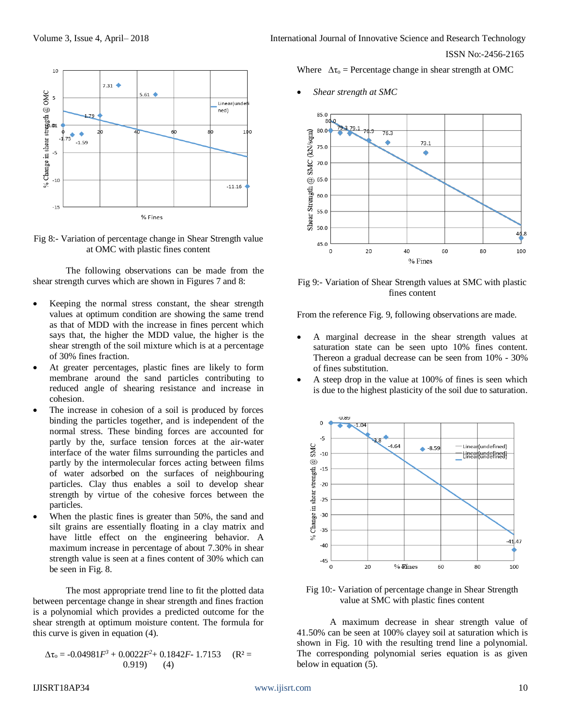

Fig 8:- Variation of percentage change in Shear Strength value at OMC with plastic fines content

The following observations can be made from the shear strength curves which are shown in Figures 7 and 8:

- Keeping the normal stress constant, the shear strength values at optimum condition are showing the same trend as that of MDD with the increase in fines percent which says that, the higher the MDD value, the higher is the shear strength of the soil mixture which is at a percentage of 30% fines fraction.
- At greater percentages, plastic fines are likely to form membrane around the sand particles contributing to reduced angle of shearing resistance and increase in cohesion.
- The increase in cohesion of a soil is produced by forces binding the particles together, and is independent of the normal stress. These binding forces are accounted for partly by the, surface tension forces at the air-water interface of the water films surrounding the particles and partly by the intermolecular forces acting between films of water adsorbed on the surfaces of neighbouring particles. Clay thus enables a soil to develop shear strength by virtue of the cohesive forces between the particles.
- When the plastic fines is greater than 50%, the sand and silt grains are essentially floating in a clay matrix and have little effect on the engineering behavior. A maximum increase in percentage of about 7.30% in shear strength value is seen at a fines content of 30% which can be seen in Fig. 8.

The most appropriate trend line to fit the plotted data between percentage change in shear strength and fines fraction is a polynomial which provides a predicted outcome for the shear strength at optimum moisture content. The formula for this curve is given in equation (4).

$$
\Delta \tau_o = -0.04981F^3 + 0.0022F^2 + 0.1842F - 1.7153 \quad (R^2 = 0.919) \quad (4)
$$

Volume 3, Issue 4, April– 2018 **International Journal of Innovative Science and Research Technology** ISSN No:-2456-2165

Where  $\Delta \tau_0$  = Percentage change in shear strength at OMC

*Shear strength at SMC*



Fig 9:- Variation of Shear Strength values at SMC with plastic fines content

From the reference Fig. 9, following observations are made.

- A marginal decrease in the shear strength values at saturation state can be seen upto 10% fines content. Thereon a gradual decrease can be seen from 10% - 30% of fines substitution.
- A steep drop in the value at 100% of fines is seen which is due to the highest plasticity of the soil due to saturation.



Fig 10:- Variation of percentage change in Shear Strength value at SMC with plastic fines content

A maximum decrease in shear strength value of 41.50% can be seen at 100% clayey soil at saturation which is shown in Fig. 10 with the resulting trend line a polynomial. The corresponding polynomial series equation is as given below in equation (5).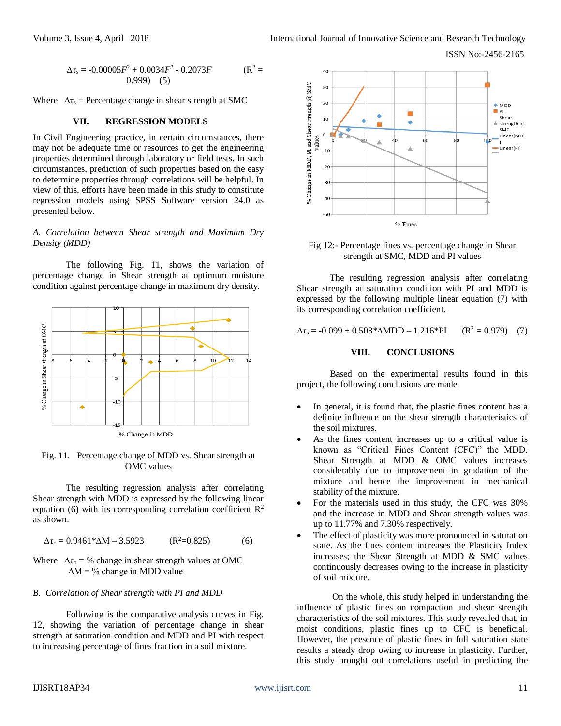ISSN No:-2456-2165

$$
\Delta \tau_s = -0.00005F^3 + 0.0034F^2 - 0.2073F \qquad (R^2 = 0.999) \quad (5)
$$

Where  $\Delta \tau_s$  = Percentage change in shear strength at SMC

# **VII. REGRESSION MODELS**

In Civil Engineering practice, in certain circumstances, there may not be adequate time or resources to get the engineering properties determined through laboratory or field tests. In such circumstances, prediction of such properties based on the easy to determine properties through correlations will be helpful. In view of this, efforts have been made in this study to constitute regression models using SPSS Software version 24.0 as presented below.

# *A. Correlation between Shear strength and Maximum Dry Density (MDD)*

The following Fig. 11, shows the variation of percentage change in Shear strength at optimum moisture condition against percentage change in maximum dry density.



Fig. 11. Percentage change of MDD vs. Shear strength at OMC values

The resulting regression analysis after correlating Shear strength with MDD is expressed by the following linear equation (6) with its corresponding correlation coefficient  $R^2$ as shown.

$$
\Delta \tau_o = 0.9461 * \Delta M - 3.5923 \qquad (R^2 = 0.825) \tag{6}
$$

Where  $\Delta \tau_0 = \%$  change in shear strength values at OMC  $\Delta M = \%$  change in MDD value

### *B. Correlation of Shear strength with PI and MDD*

Following is the comparative analysis curves in Fig. 12, showing the variation of percentage change in shear strength at saturation condition and MDD and PI with respect to increasing percentage of fines fraction in a soil mixture.



Fig 12:- Percentage fines vs. percentage change in Shear strength at SMC, MDD and PI values

The resulting regression analysis after correlating Shear strength at saturation condition with PI and MDD is expressed by the following multiple linear equation (7) with its corresponding correlation coefficient.

$$
\Delta \tau_s = -0.099 + 0.503 * \Delta MDD - 1.216 * PI \qquad (R^2 = 0.979) \quad (7)
$$

# **VIII. CONCLUSIONS**

Based on the experimental results found in this project, the following conclusions are made.

- In general, it is found that, the plastic fines content has a definite influence on the shear strength characteristics of the soil mixtures.
- As the fines content increases up to a critical value is known as "Critical Fines Content (CFC)" the MDD, Shear Strength at MDD & OMC values increases considerably due to improvement in gradation of the mixture and hence the improvement in mechanical stability of the mixture.
- For the materials used in this study, the CFC was 30% and the increase in MDD and Shear strength values was up to 11.77% and 7.30% respectively.
- The effect of plasticity was more pronounced in saturation state. As the fines content increases the Plasticity Index increases; the Shear Strength at MDD & SMC values continuously decreases owing to the increase in plasticity of soil mixture.

 On the whole, this study helped in understanding the influence of plastic fines on compaction and shear strength characteristics of the soil mixtures. This study revealed that, in moist conditions, plastic fines up to CFC is beneficial. However, the presence of plastic fines in full saturation state results a steady drop owing to increase in plasticity. Further, this study brought out correlations useful in predicting the